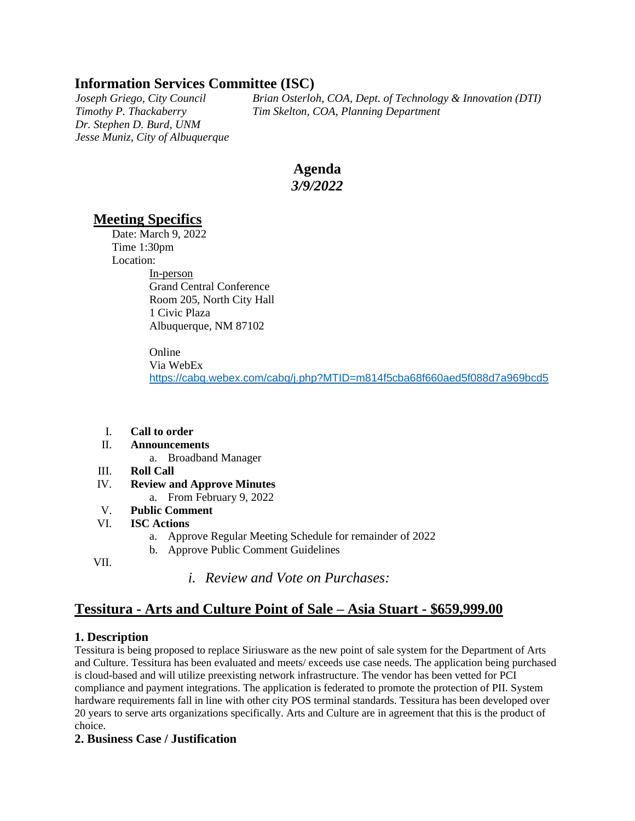# **Information Services Committee (ISC)**

*Dr. Stephen D. Burd, UNM Jesse Muniz, City of Albuquerque*

*Joseph Griego, City Council Brian Osterloh, COA, Dept. of Technology & Innovation (DTI) Timothy P. Thackaberry Tim Skelton, COA, Planning Department*

# **Agenda** *3/9/2022*

## **Meeting Specifics**

Date: March 9, 2022 Time 1:30pm Location: In-person Grand Central Conference Room 205, North City Hall 1 Civic Plaza Albuquerque, NM 87102

> Online Via WebEx <https://cabq.webex.com/cabq/j.php?MTID=m814f5cba68f660aed5f088d7a969bcd5>

- I. **Call to order**
- II. **Announcements**
	- a. Broadband Manager
- III. **Roll Call**
- IV. **Review and Approve Minutes** 
	- a. From February 9, 2022
- V. **Public Comment**
- VI. **ISC Actions**
	- a. Approve Regular Meeting Schedule for remainder of 2022
	- b. Approve Public Comment Guidelines

VII.

*i. Review and Vote on Purchases:*

## **Tessitura - Arts and Culture Point of Sale – Asia Stuart - \$659,999.00**

## **1. Description**

Tessitura is being proposed to replace Siriusware as the new point of sale system for the Department of Arts and Culture. Tessitura has been evaluated and meets/ exceeds use case needs. The application being purchased is cloud-based and will utilize preexisting network infrastructure. The vendor has been vetted for PCI compliance and payment integrations. The application is federated to promote the protection of PII. System hardware requirements fall in line with other city POS terminal standards. Tessitura has been developed over 20 years to serve arts organizations specifically. Arts and Culture are in agreement that this is the product of choice.

#### **2. Business Case / Justification**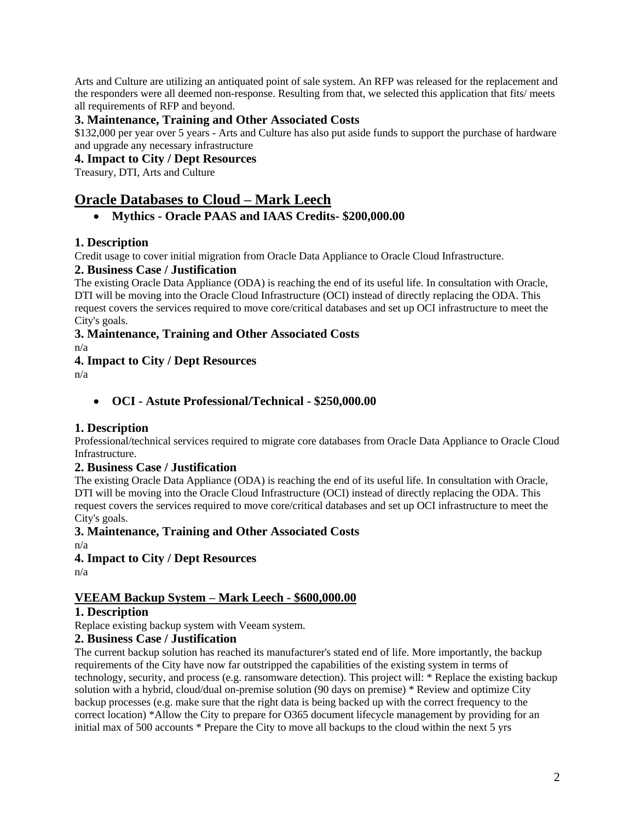Arts and Culture are utilizing an antiquated point of sale system. An RFP was released for the replacement and the responders were all deemed non-response. Resulting from that, we selected this application that fits/ meets all requirements of RFP and beyond.

### **3. Maintenance, Training and Other Associated Costs**

\$132,000 per year over 5 years - Arts and Culture has also put aside funds to support the purchase of hardware and upgrade any necessary infrastructure

#### **4. Impact to City / Dept Resources**

Treasury, DTI, Arts and Culture

# **Oracle Databases to Cloud – Mark Leech**

### • **Mythics - Oracle PAAS and IAAS Credits- \$200,000.00**

### **1. Description**

Credit usage to cover initial migration from Oracle Data Appliance to Oracle Cloud Infrastructure.

#### **2. Business Case / Justification**

The existing Oracle Data Appliance (ODA) is reaching the end of its useful life. In consultation with Oracle, DTI will be moving into the Oracle Cloud Infrastructure (OCI) instead of directly replacing the ODA. This request covers the services required to move core/critical databases and set up OCI infrastructure to meet the City's goals.

## **3. Maintenance, Training and Other Associated Costs**

n/a

### **4. Impact to City / Dept Resources**

n/a

• **OCI - Astute Professional/Technical - \$250,000.00**

#### **1. Description**

Professional/technical services required to migrate core databases from Oracle Data Appliance to Oracle Cloud Infrastructure.

## **2. Business Case / Justification**

The existing Oracle Data Appliance (ODA) is reaching the end of its useful life. In consultation with Oracle, DTI will be moving into the Oracle Cloud Infrastructure (OCI) instead of directly replacing the ODA. This request covers the services required to move core/critical databases and set up OCI infrastructure to meet the City's goals.

#### **3. Maintenance, Training and Other Associated Costs**

n/a

#### **4. Impact to City / Dept Resources**

n/a

## **VEEAM Backup System – Mark Leech - \$600,000.00**

### **1. Description**

Replace existing backup system with Veeam system.

#### **2. Business Case / Justification**

The current backup solution has reached its manufacturer's stated end of life. More importantly, the backup requirements of the City have now far outstripped the capabilities of the existing system in terms of technology, security, and process (e.g. ransomware detection). This project will: \* Replace the existing backup solution with a hybrid, cloud/dual on-premise solution (90 days on premise) \* Review and optimize City backup processes (e.g. make sure that the right data is being backed up with the correct frequency to the correct location) \*Allow the City to prepare for O365 document lifecycle management by providing for an initial max of 500 accounts \* Prepare the City to move all backups to the cloud within the next 5 yrs